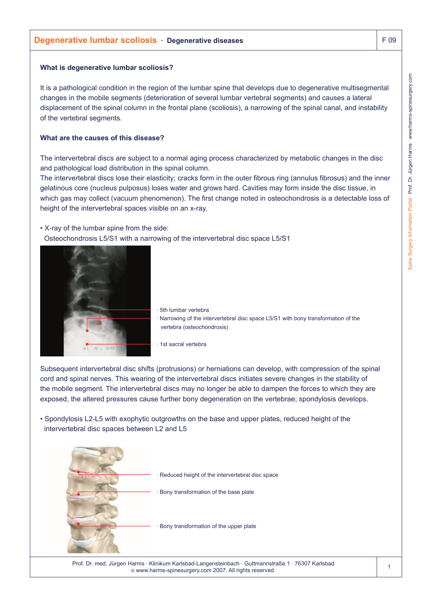### **What is degenerative lumbar scoliosis?**

It is a pathological condition in the region of the lumbar spine that develops due to degenerative multisegmental changes in the mobile segments (deterioration of several lumbar vertebral segments) and causes a lateral displacement of the spinal column in the frontal plane (scoliosis), a narrowing of the spinal canal, and instability of the vertebral segments.

## **What are the causes of this disease?**

The intervertebral discs are subject to a normal aging process characterized by metabolic changes in the disc and pathological load distribution in the spinal column.

The intervertebral discs lose their elasticity; cracks form in the outer fibrous ring (annulus fibrosus) and the inner gelatinous core (nucleus pulposus) loses water and grows hard. Cavities may form inside the disc tissue, in which gas may collect (vacuum phenomenon). The first change noted in osteochondrosis is a detectable loss of height of the intervertebral spaces visible on an x-ray.

• X-ray of the lumbar spine from the side: Osteochondrosis L5/S1 with a narrowing of the intervertebral disc space L5/S1



· 5th lumbar vertebra · Narrowing of the intervertebral disc space L5/S1 with bony transformation of the vertebra (osteochondrosis)

· 1st sacral vertebra

Subsequent intervertebral disc shifts (protrusions) or herniations can develop, with compression of the spinal cord and spinal nerves. This wearing of the intervertebral discs initiates severe changes in the stability of the mobile segment. The intervertebral discs may no longer be able to dampen the forces to which they are exposed, the altered pressures cause further bony degeneration on the vertebrae; spondylosis develops.

• Spondylosis L2-L5 with exophytic outgrowths on the base and upper plates, reduced height of the intervertebral disc spaces between L2 and L5



Prof. Dr. med. Jürgen Harms · Klinikum Karlsbad-Langensteinbach · Guttmannstraße 1 · 76307 Karlsbad © www.harms-spinesurgery.com 2007. All rights reserved.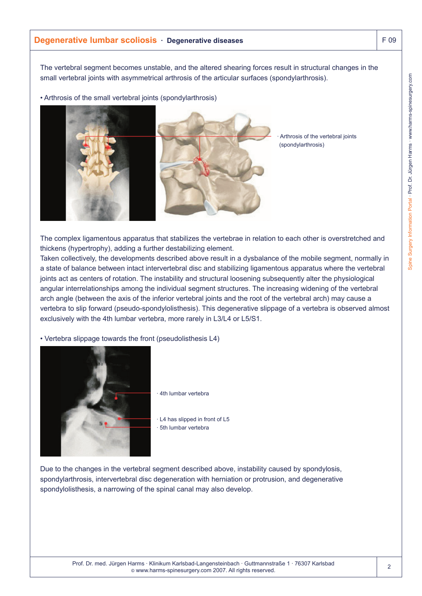# **Degenerative lumbar scoliosis · Degenerative diseases** F 09

The vertebral segment becomes unstable, and the altered shearing forces result in structural changes in the small vertebral joints with asymmetrical arthrosis of the articular surfaces (spondylarthrosis).

• Arthrosis of the small vertebral joints (spondylarthrosis)



Arthrosis of the vertebral joints (spondylarthrosis)

The complex ligamentous apparatus that stabilizes the vertebrae in relation to each other is overstretched and thickens (hypertrophy), adding a further destabilizing element.

Taken collectively, the developments described above result in a dysbalance of the mobile segment, normally in a state of balance between intact intervertebral disc and stabilizing ligamentous apparatus where the vertebral joints act as centers of rotation. The instability and structural loosening subsequently alter the physiological angular interrelationships among the individual segment structures. The increasing widening of the vertebral arch angle (between the axis of the inferior vertebral joints and the root of the vertebral arch) may cause a vertebra to slip forward (pseudo-spondylolisthesis). This degenerative slippage of a vertebra is observed almost exclusively with the 4th lumbar vertebra, more rarely in L3/L4 or L5/S1.

• Vertebra slippage towards the front (pseudolisthesis L4)



4th lumbar vertebra

· L4 has slipped in front of L5 · 5th lumbar vertebra

Due to the changes in the vertebral segment described above, instability caused by spondylosis, spondylarthrosis, intervertebral disc degeneration with herniation or protrusion, and degenerative spondylolisthesis, a narrowing of the spinal canal may also develop.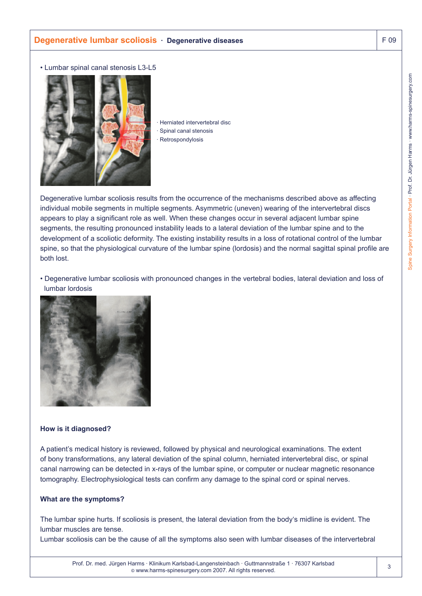# **Degenerative lumbar scoliosis · Degenerative diseases** F 09

#### • Lumbar spinal canal stenosis L3-L5



Herniated intervertebral disc Spinal canal stenosis Retrospondylosis

Degenerative lumbar scoliosis results from the occurrence of the mechanisms described above as affecting individual mobile segments in multiple segments. Asymmetric (uneven) wearing of the intervertebral discs appears to play a significant role as well. When these changes occur in several adjacent lumbar spine segments, the resulting pronounced instability leads to a lateral deviation of the lumbar spine and to the development of a scoliotic deformity. The existing instability results in a loss of rotational control of the lumbar spine, so that the physiological curvature of the lumbar spine (lordosis) and the normal sagittal spinal profile are both lost.

• Degenerative lumbar scoliosis with pronounced changes in the vertebral bodies, lateral deviation and loss of lumbar lordosis



### **How is it diagnosed?**

A patient's medical history is reviewed, followed by physical and neurological examinations. The extent of bony transformations, any lateral deviation of the spinal column, herniated intervertebral disc, or spinal canal narrowing can be detected in x-rays of the lumbar spine, or computer or nuclear magnetic resonance tomography. Electrophysiological tests can confirm any damage to the spinal cord or spinal nerves.

### **What are the symptoms?**

The lumbar spine hurts. If scoliosis is present, the lateral deviation from the body's midline is evident. The lumbar muscles are tense.

Lumbar scoliosis can be the cause of all the symptoms also seen with lumbar diseases of the intervertebral

3